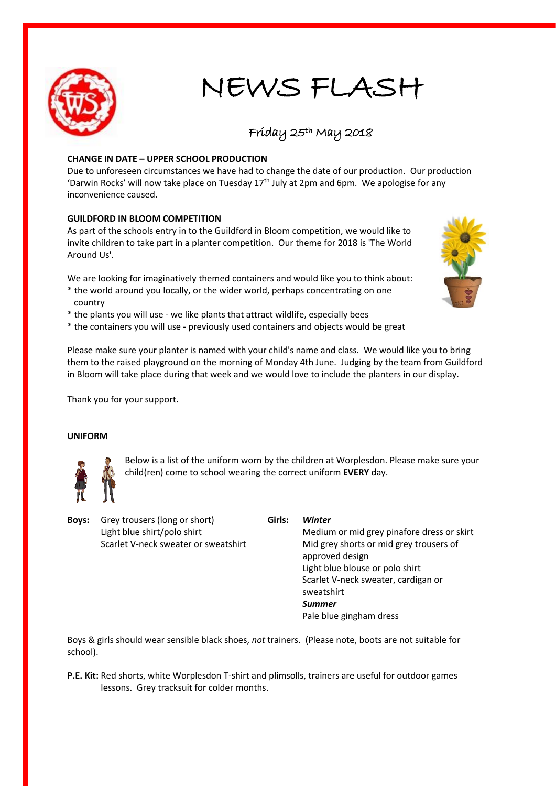

# NEWS FLASH

# Friday 25th May 2018

# **CHANGE IN DATE – UPPER SCHOOL PRODUCTION**

Due to unforeseen circumstances we have had to change the date of our production. Our production 'Darwin Rocks' will now take place on Tuesday  $17<sup>th</sup>$  July at 2pm and 6pm. We apologise for any inconvenience caused.

# **GUILDFORD IN BLOOM COMPETITION**

As part of the schools entry in to the Guildford in Bloom competition, we would like to invite children to take part in a planter competition. Our theme for 2018 is 'The World Around Us'.

We are looking for imaginatively themed containers and would like you to think about:

- \* the world around you locally, or the wider world, perhaps concentrating on one country
- \* the plants you will use we like plants that attract wildlife, especially bees
- \* the containers you will use previously used containers and objects would be great

Please make sure your planter is named with your child's name and class. We would like you to bring them to the raised playground on the morning of Monday 4th June. Judging by the team from Guildford in Bloom will take place during that week and we would love to include the planters in our display.

Thank you for your support.

# **UNIFORM**



Below is a list of the uniform worn by the children at Worplesdon. Please make sure your child(ren) come to school wearing the correct uniform **EVERY** day.

**Boys:** Grey trousers (long or short) **Girls:** *Winter*

Light blue shirt/polo shirt Medium or mid grey pinafore dress or skirt Scarlet V-neck sweater or sweatshirt Mid grey shorts or mid grey trousers of approved design Light blue blouse or polo shirt Scarlet V-neck sweater, cardigan or sweatshirt *Summer* Pale blue gingham dress

Boys & girls should wear sensible black shoes, *not* trainers. (Please note, boots are not suitable for school).

**P.E. Kit:** Red shorts, white Worplesdon T-shirt and plimsolls, trainers are useful for outdoor games lessons. Grey tracksuit for colder months.